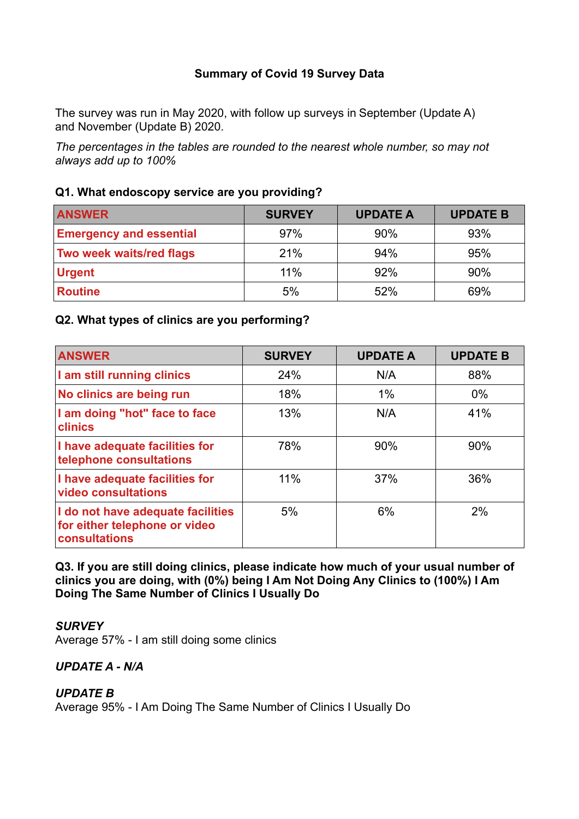## **Summary of Covid 19 Survey Data**

The survey was run in May 2020, with follow up surveys in September (Update A) and November (Update B) 2020.

*The percentages in the tables are rounded to the nearest whole number, so may not always add up to 100%*

### **Q1. What endoscopy service are you providing?**

| <b>ANSWER</b>                  | <b>SURVEY</b> | <b>UPDATE A</b> | <b>UPDATE B</b> |
|--------------------------------|---------------|-----------------|-----------------|
| <b>Emergency and essential</b> | 97%           | 90%             | 93%             |
| Two week waits/red flags       | 21%           | 94%             | 95%             |
| <b>Urgent</b>                  | 11%           | 92%             | 90%             |
| <b>Routine</b>                 | 5%            | 52%             | 69%             |

#### **Q2. What types of clinics are you performing?**

| <b>ANSWER</b>                                                                       | <b>SURVEY</b> | <b>UPDATE A</b> | <b>UPDATE B</b> |
|-------------------------------------------------------------------------------------|---------------|-----------------|-----------------|
| I am still running clinics                                                          | 24%           | N/A             | 88%             |
| No clinics are being run                                                            | 18%           | 1%              | $0\%$           |
| I am doing "hot" face to face<br>clinics                                            | 13%           | N/A             | 41%             |
| I have adequate facilities for<br>telephone consultations                           | 78%           | 90%             | 90%             |
| I have adequate facilities for<br>video consultations                               | 11%           | 37%             | 36%             |
| I do not have adequate facilities<br>for either telephone or video<br>consultations | 5%            | 6%              | 2%              |

**Q3. If you are still doing clinics, please indicate how much of your usual number of clinics you are doing, with (0%) being I Am Not Doing Any Clinics to (100%) I Am Doing The Same Number of Clinics I Usually Do**

#### *SURVEY*

Average 57% - I am still doing some clinics

#### *UPDATE A - N/A*

#### *UPDATE B*

Average 95% - I Am Doing The Same Number of Clinics I Usually Do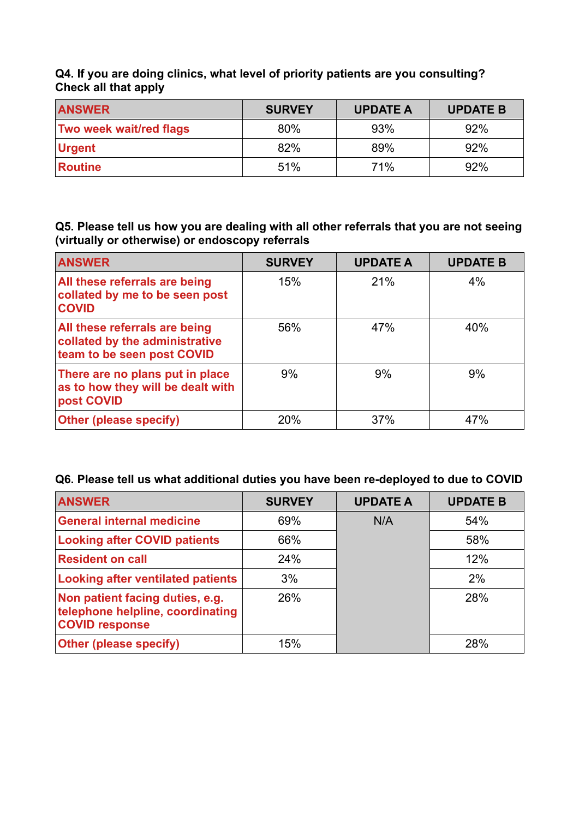**Q4. If you are doing clinics, what level of priority patients are you consulting? Check all that apply**

| <b>ANSWER</b>                  | <b>SURVEY</b> | <b>UPDATE A</b> | <b>UPDATE B</b> |
|--------------------------------|---------------|-----------------|-----------------|
| <b>Two week wait/red flags</b> | 80%           | 93%             | 92%             |
| Urgent                         | 82%           | 89%             | 92%             |
| <b>Routine</b>                 | 51%           | 71%             | 92%             |

**Q5. Please tell us how you are dealing with all other referrals that you are not seeing (virtually or otherwise) or endoscopy referrals**

| <b>ANSWER</b>                                                                                 | <b>SURVEY</b> | <b>UPDATE A</b> | <b>UPDATE B</b> |
|-----------------------------------------------------------------------------------------------|---------------|-----------------|-----------------|
| All these referrals are being<br>collated by me to be seen post<br><b>COVID</b>               | 15%           | 21%             | 4%              |
| All these referrals are being<br>collated by the administrative<br>team to be seen post COVID | 56%           | 47%             | 40%             |
| There are no plans put in place<br>as to how they will be dealt with<br>post COVID            | 9%            | 9%              | 9%              |
| <b>Other (please specify)</b>                                                                 | 20%           | 37%             | 47%             |

## **Q6. Please tell us what additional duties you have been re-deployed to due to COVID**

| <b>ANSWER</b>                                                                                | <b>SURVEY</b> | <b>UPDATE A</b> | <b>UPDATE B</b> |
|----------------------------------------------------------------------------------------------|---------------|-----------------|-----------------|
| <b>General internal medicine</b>                                                             | 69%           | N/A             | 54%             |
| <b>Looking after COVID patients</b>                                                          | 66%           |                 | 58%             |
| <b>Resident on call</b>                                                                      | 24%           |                 | 12%             |
| <b>Looking after ventilated patients</b>                                                     | 3%            |                 | 2%              |
| Non patient facing duties, e.g.<br>telephone helpline, coordinating<br><b>COVID response</b> | 26%           |                 | 28%             |
| <b>Other (please specify)</b>                                                                | 15%           |                 | 28%             |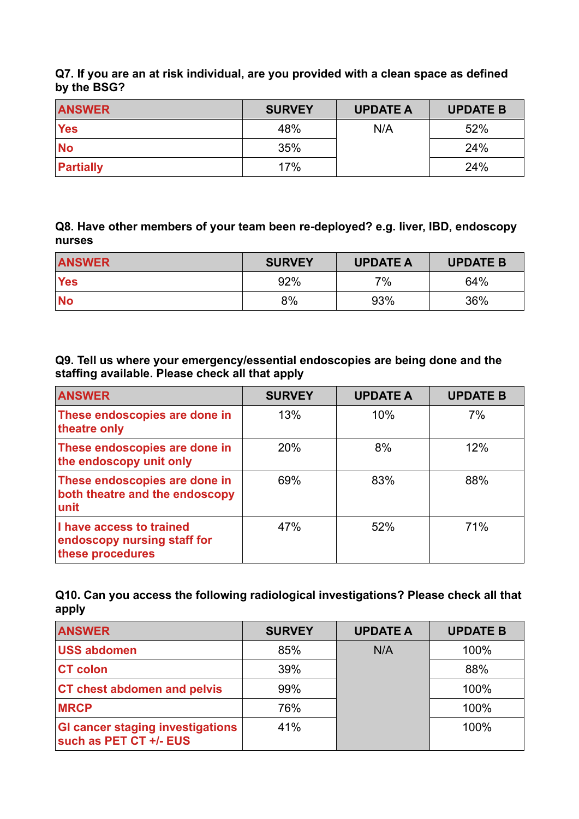**Q7. If you are an at risk individual, are you provided with a clean space as defined by the BSG?**

| <b>ANSWER</b>            | <b>SURVEY</b> | <b>UPDATE A</b> | <b>UPDATE B</b> |
|--------------------------|---------------|-----------------|-----------------|
| <b>Yes</b>               | 48%           | N/A             | 52%             |
| $\overline{\mathsf{No}}$ | 35%           |                 | 24%             |
| Partially                | 17%           |                 | 24%             |

**Q8. Have other members of your team been re-deployed? e.g. liver, IBD, endoscopy nurses**

| <b>ANSWER</b> | <b>SURVEY</b> | <b>UPDATE A</b> | <b>UPDATE B</b> |
|---------------|---------------|-----------------|-----------------|
| <b>Yes</b>    | 92%           | 7%              | 64%             |
| $\mathsf{No}$ | 8%            | 93%             | 36%             |

**Q9. Tell us where your emergency/essential endoscopies are being done and the staffing available. Please check all that apply**

| <b>ANSWER</b>                                                               | <b>SURVEY</b> | <b>UPDATE A</b> | <b>UPDATE B</b> |
|-----------------------------------------------------------------------------|---------------|-----------------|-----------------|
| These endoscopies are done in<br>theatre only                               | 13%           | 10%             | 7%              |
| These endoscopies are done in<br>the endoscopy unit only                    | 20%           | 8%              | 12%             |
| These endoscopies are done in<br>both theatre and the endoscopy<br>unit     | 69%           | 83%             | 88%             |
| I have access to trained<br>endoscopy nursing staff for<br>these procedures | 47%           | 52%             | 71%             |

**Q10. Can you access the following radiological investigations? Please check all that apply**

| <b>ANSWER</b>                                                     | <b>SURVEY</b> | <b>UPDATE A</b> | <b>UPDATE B</b> |
|-------------------------------------------------------------------|---------------|-----------------|-----------------|
| <b>USS abdomen</b>                                                | 85%           | N/A             | 100%            |
| <b>CT colon</b>                                                   | 39%           |                 | 88%             |
| <b>CT chest abdomen and pelvis</b>                                | 99%           |                 | 100%            |
| <b>IMRCP</b>                                                      | 76%           |                 | 100%            |
| <b>GI cancer staging investigations</b><br>such as PET CT +/- EUS | 41%           |                 | 100%            |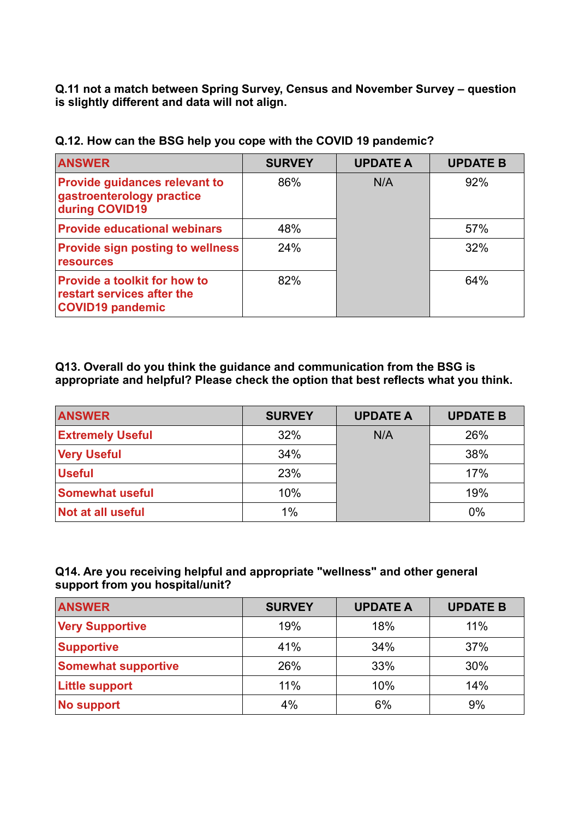**Q.11 not a match between Spring Survey, Census and November Survey – question is slightly different and data will not align.**

| <b>ANSWER</b>                                                                                | <b>SURVEY</b> | <b>UPDATE A</b> | <b>UPDATE B</b> |
|----------------------------------------------------------------------------------------------|---------------|-----------------|-----------------|
| <b>Provide guidances relevant to</b><br>gastroenterology practice<br>during COVID19          | 86%           | N/A             | 92%             |
| <b>Provide educational webinars</b>                                                          | 48%           |                 | 57%             |
| <b>Provide sign posting to wellness</b><br><b>resources</b>                                  | 24%           |                 | 32%             |
| <b>Provide a toolkit for how to</b><br>restart services after the<br><b>COVID19 pandemic</b> | 82%           |                 | 64%             |

**Q.12. How can the BSG help you cope with the COVID 19 pandemic?**

**Q13. Overall do you think the guidance and communication from the BSG is appropriate and helpful? Please check the option that best reflects what you think.**

| <b>ANSWER</b>            | <b>SURVEY</b> | <b>UPDATE A</b> | <b>UPDATE B</b> |
|--------------------------|---------------|-----------------|-----------------|
| <b>Extremely Useful</b>  | 32%           | N/A             | 26%             |
| <b>Very Useful</b>       | 34%           |                 | 38%             |
| <b>Useful</b>            | 23%           |                 | 17%             |
| <b>Somewhat useful</b>   | 10%           |                 | 19%             |
| <b>Not at all useful</b> | 1%            |                 | 0%              |

# **Q14. Are you receiving helpful and appropriate "wellness" and other general support from you hospital/unit?**

| <b>ANSWER</b>              | <b>SURVEY</b> | <b>UPDATE A</b> | <b>UPDATE B</b> |
|----------------------------|---------------|-----------------|-----------------|
| <b>Very Supportive</b>     | 19%           | 18%             | 11%             |
| <b>Supportive</b>          | 41%           | 34%             | 37%             |
| <b>Somewhat supportive</b> | 26%           | 33%             | 30%             |
| <b>Little support</b>      | 11%           | 10%             | 14%             |
| No support                 | 4%            | 6%              | 9%              |